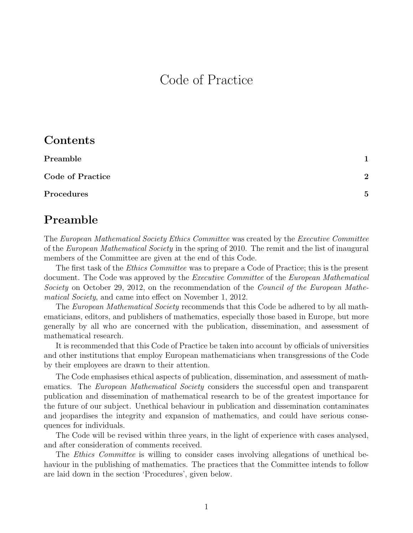# Code of Practice

| Contents |  |
|----------|--|
|----------|--|

| Preamble         |                |
|------------------|----------------|
| Code of Practice | $\overline{2}$ |
| Procedures       | $\overline{5}$ |

### Preamble

The European Mathematical Society Ethics Committee was created by the Executive Committee of the European Mathematical Society in the spring of 2010. The remit and the list of inaugural members of the Committee are given at the end of this Code.

The first task of the *Ethics Committee* was to prepare a Code of Practice; this is the present document. The Code was approved by the *Executive Committee* of the *European Mathematical* Society on October 29, 2012, on the recommendation of the Council of the European Mathematical Society, and came into effect on November 1, 2012.

The *European Mathematical Society* recommends that this Code be adhered to by all mathematicians, editors, and publishers of mathematics, especially those based in Europe, but more generally by all who are concerned with the publication, dissemination, and assessment of mathematical research.

It is recommended that this Code of Practice be taken into account by officials of universities and other institutions that employ European mathematicians when transgressions of the Code by their employees are drawn to their attention.

The Code emphasises ethical aspects of publication, dissemination, and assessment of mathematics. The *European Mathematical Society* considers the successful open and transparent publication and dissemination of mathematical research to be of the greatest importance for the future of our subject. Unethical behaviour in publication and dissemination contaminates and jeopardises the integrity and expansion of mathematics, and could have serious consequences for individuals.

The Code will be revised within three years, in the light of experience with cases analysed, and after consideration of comments received.

The *Ethics Committee* is willing to consider cases involving allegations of unethical behaviour in the publishing of mathematics. The practices that the Committee intends to follow are laid down in the section 'Procedures', given below.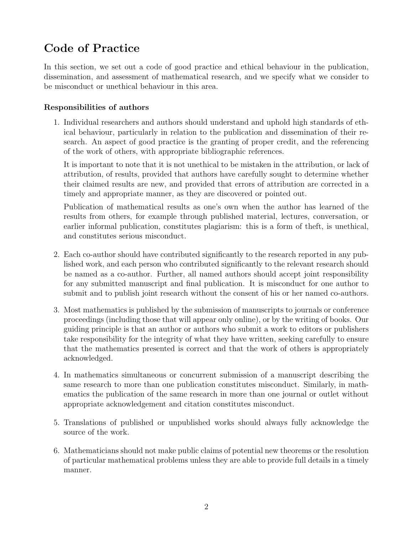# Code of Practice

In this section, we set out a code of good practice and ethical behaviour in the publication, dissemination, and assessment of mathematical research, and we specify what we consider to be misconduct or unethical behaviour in this area.

#### Responsibilities of authors

1. Individual researchers and authors should understand and uphold high standards of ethical behaviour, particularly in relation to the publication and dissemination of their research. An aspect of good practice is the granting of proper credit, and the referencing of the work of others, with appropriate bibliographic references.

It is important to note that it is not unethical to be mistaken in the attribution, or lack of attribution, of results, provided that authors have carefully sought to determine whether their claimed results are new, and provided that errors of attribution are corrected in a timely and appropriate manner, as they are discovered or pointed out.

Publication of mathematical results as one's own when the author has learned of the results from others, for example through published material, lectures, conversation, or earlier informal publication, constitutes plagiarism: this is a form of theft, is unethical, and constitutes serious misconduct.

- 2. Each co-author should have contributed significantly to the research reported in any published work, and each person who contributed significantly to the relevant research should be named as a co-author. Further, all named authors should accept joint responsibility for any submitted manuscript and final publication. It is misconduct for one author to submit and to publish joint research without the consent of his or her named co-authors.
- 3. Most mathematics is published by the submission of manuscripts to journals or conference proceedings (including those that will appear only online), or by the writing of books. Our guiding principle is that an author or authors who submit a work to editors or publishers take responsibility for the integrity of what they have written, seeking carefully to ensure that the mathematics presented is correct and that the work of others is appropriately acknowledged.
- 4. In mathematics simultaneous or concurrent submission of a manuscript describing the same research to more than one publication constitutes misconduct. Similarly, in mathematics the publication of the same research in more than one journal or outlet without appropriate acknowledgement and citation constitutes misconduct.
- 5. Translations of published or unpublished works should always fully acknowledge the source of the work.
- 6. Mathematicians should not make public claims of potential new theorems or the resolution of particular mathematical problems unless they are able to provide full details in a timely manner.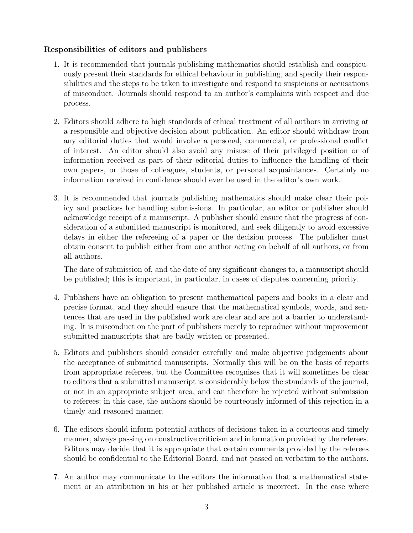#### Responsibilities of editors and publishers

- 1. It is recommended that journals publishing mathematics should establish and conspicuously present their standards for ethical behaviour in publishing, and specify their responsibilities and the steps to be taken to investigate and respond to suspicions or accusations of misconduct. Journals should respond to an author's complaints with respect and due process.
- 2. Editors should adhere to high standards of ethical treatment of all authors in arriving at a responsible and objective decision about publication. An editor should withdraw from any editorial duties that would involve a personal, commercial, or professional conflict of interest. An editor should also avoid any misuse of their privileged position or of information received as part of their editorial duties to influence the handling of their own papers, or those of colleagues, students, or personal acquaintances. Certainly no information received in confidence should ever be used in the editor's own work.
- 3. It is recommended that journals publishing mathematics should make clear their policy and practices for handling submissions. In particular, an editor or publisher should acknowledge receipt of a manuscript. A publisher should ensure that the progress of consideration of a submitted manuscript is monitored, and seek diligently to avoid excessive delays in either the refereeing of a paper or the decision process. The publisher must obtain consent to publish either from one author acting on behalf of all authors, or from all authors.

The date of submission of, and the date of any significant changes to, a manuscript should be published; this is important, in particular, in cases of disputes concerning priority.

- 4. Publishers have an obligation to present mathematical papers and books in a clear and precise format, and they should ensure that the mathematical symbols, words, and sentences that are used in the published work are clear and are not a barrier to understanding. It is misconduct on the part of publishers merely to reproduce without improvement submitted manuscripts that are badly written or presented.
- 5. Editors and publishers should consider carefully and make objective judgements about the acceptance of submitted manuscripts. Normally this will be on the basis of reports from appropriate referees, but the Committee recognises that it will sometimes be clear to editors that a submitted manuscript is considerably below the standards of the journal, or not in an appropriate subject area, and can therefore be rejected without submission to referees; in this case, the authors should be courteously informed of this rejection in a timely and reasoned manner.
- 6. The editors should inform potential authors of decisions taken in a courteous and timely manner, always passing on constructive criticism and information provided by the referees. Editors may decide that it is appropriate that certain comments provided by the referees should be confidential to the Editorial Board, and not passed on verbatim to the authors.
- 7. An author may communicate to the editors the information that a mathematical statement or an attribution in his or her published article is incorrect. In the case where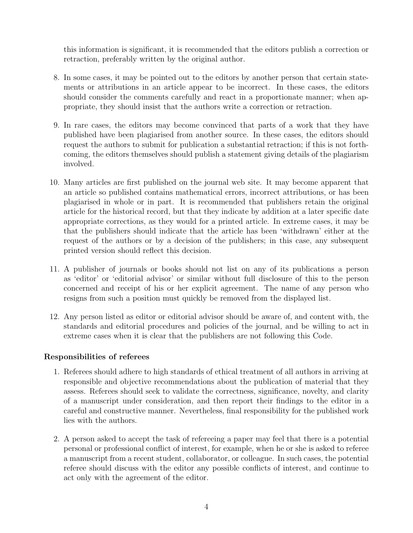this information is significant, it is recommended that the editors publish a correction or retraction, preferably written by the original author.

- 8. In some cases, it may be pointed out to the editors by another person that certain statements or attributions in an article appear to be incorrect. In these cases, the editors should consider the comments carefully and react in a proportionate manner; when appropriate, they should insist that the authors write a correction or retraction.
- 9. In rare cases, the editors may become convinced that parts of a work that they have published have been plagiarised from another source. In these cases, the editors should request the authors to submit for publication a substantial retraction; if this is not forthcoming, the editors themselves should publish a statement giving details of the plagiarism involved.
- 10. Many articles are first published on the journal web site. It may become apparent that an article so published contains mathematical errors, incorrect attributions, or has been plagiarised in whole or in part. It is recommended that publishers retain the original article for the historical record, but that they indicate by addition at a later specific date appropriate corrections, as they would for a printed article. In extreme cases, it may be that the publishers should indicate that the article has been 'withdrawn' either at the request of the authors or by a decision of the publishers; in this case, any subsequent printed version should reflect this decision.
- 11. A publisher of journals or books should not list on any of its publications a person as 'editor' or 'editorial advisor' or similar without full disclosure of this to the person concerned and receipt of his or her explicit agreement. The name of any person who resigns from such a position must quickly be removed from the displayed list.
- 12. Any person listed as editor or editorial advisor should be aware of, and content with, the standards and editorial procedures and policies of the journal, and be willing to act in extreme cases when it is clear that the publishers are not following this Code.

#### Responsibilities of referees

- 1. Referees should adhere to high standards of ethical treatment of all authors in arriving at responsible and objective recommendations about the publication of material that they assess. Referees should seek to validate the correctness, significance, novelty, and clarity of a manuscript under consideration, and then report their findings to the editor in a careful and constructive manner. Nevertheless, final responsibility for the published work lies with the authors.
- 2. A person asked to accept the task of refereeing a paper may feel that there is a potential personal or professional conflict of interest, for example, when he or she is asked to referee a manuscript from a recent student, collaborator, or colleague. In such cases, the potential referee should discuss with the editor any possible conflicts of interest, and continue to act only with the agreement of the editor.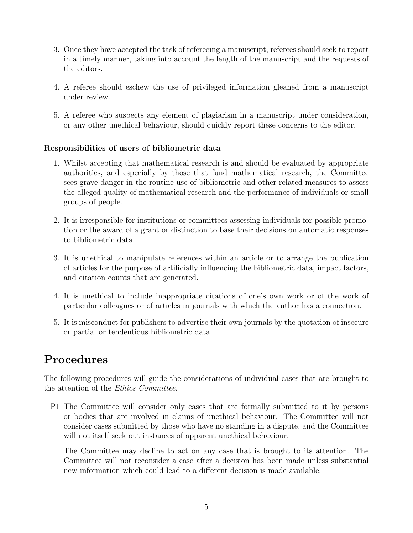- 3. Once they have accepted the task of refereeing a manuscript, referees should seek to report in a timely manner, taking into account the length of the manuscript and the requests of the editors.
- 4. A referee should eschew the use of privileged information gleaned from a manuscript under review.
- 5. A referee who suspects any element of plagiarism in a manuscript under consideration, or any other unethical behaviour, should quickly report these concerns to the editor.

#### Responsibilities of users of bibliometric data

- 1. Whilst accepting that mathematical research is and should be evaluated by appropriate authorities, and especially by those that fund mathematical research, the Committee sees grave danger in the routine use of bibliometric and other related measures to assess the alleged quality of mathematical research and the performance of individuals or small groups of people.
- 2. It is irresponsible for institutions or committees assessing individuals for possible promotion or the award of a grant or distinction to base their decisions on automatic responses to bibliometric data.
- 3. It is unethical to manipulate references within an article or to arrange the publication of articles for the purpose of artificially influencing the bibliometric data, impact factors, and citation counts that are generated.
- 4. It is unethical to include inappropriate citations of one's own work or of the work of particular colleagues or of articles in journals with which the author has a connection.
- 5. It is misconduct for publishers to advertise their own journals by the quotation of insecure or partial or tendentious bibliometric data.

## Procedures

The following procedures will guide the considerations of individual cases that are brought to the attention of the Ethics Committee.

P1 The Committee will consider only cases that are formally submitted to it by persons or bodies that are involved in claims of unethical behaviour. The Committee will not consider cases submitted by those who have no standing in a dispute, and the Committee will not itself seek out instances of apparent unethical behaviour.

The Committee may decline to act on any case that is brought to its attention. The Committee will not reconsider a case after a decision has been made unless substantial new information which could lead to a different decision is made available.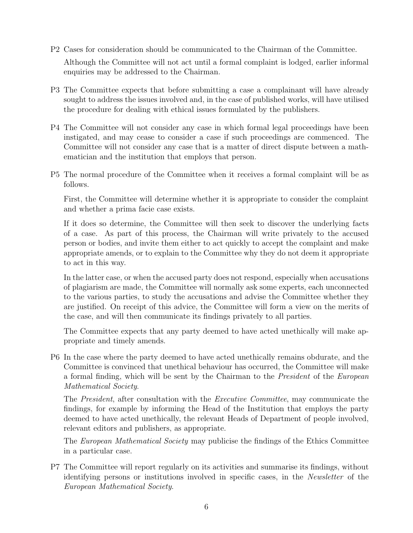P2 Cases for consideration should be communicated to the Chairman of the Committee.

Although the Committee will not act until a formal complaint is lodged, earlier informal enquiries may be addressed to the Chairman.

- P3 The Committee expects that before submitting a case a complainant will have already sought to address the issues involved and, in the case of published works, will have utilised the procedure for dealing with ethical issues formulated by the publishers.
- P4 The Committee will not consider any case in which formal legal proceedings have been instigated, and may cease to consider a case if such proceedings are commenced. The Committee will not consider any case that is a matter of direct dispute between a mathematician and the institution that employs that person.
- P5 The normal procedure of the Committee when it receives a formal complaint will be as follows.

First, the Committee will determine whether it is appropriate to consider the complaint and whether a prima facie case exists.

If it does so determine, the Committee will then seek to discover the underlying facts of a case. As part of this process, the Chairman will write privately to the accused person or bodies, and invite them either to act quickly to accept the complaint and make appropriate amends, or to explain to the Committee why they do not deem it appropriate to act in this way.

In the latter case, or when the accused party does not respond, especially when accusations of plagiarism are made, the Committee will normally ask some experts, each unconnected to the various parties, to study the accusations and advise the Committee whether they are justified. On receipt of this advice, the Committee will form a view on the merits of the case, and will then communicate its findings privately to all parties.

The Committee expects that any party deemed to have acted unethically will make appropriate and timely amends.

P6 In the case where the party deemed to have acted unethically remains obdurate, and the Committee is convinced that unethical behaviour has occurred, the Committee will make a formal finding, which will be sent by the Chairman to the President of the European Mathematical Society.

The President, after consultation with the Executive Committee, may communicate the findings, for example by informing the Head of the Institution that employs the party deemed to have acted unethically, the relevant Heads of Department of people involved, relevant editors and publishers, as appropriate.

The *European Mathematical Society* may publicise the findings of the Ethics Committee in a particular case.

P7 The Committee will report regularly on its activities and summarise its findings, without identifying persons or institutions involved in specific cases, in the Newsletter of the European Mathematical Society.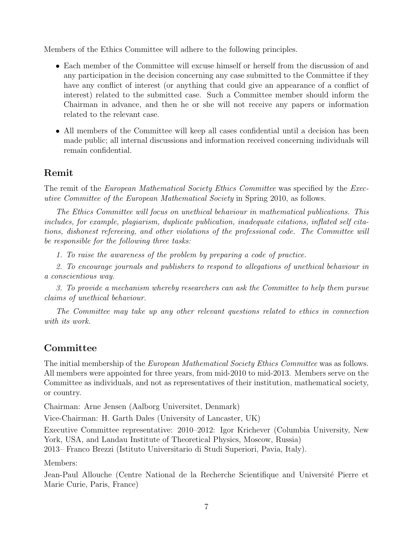Members of the Ethics Committee will adhere to the following principles.

- Each member of the Committee will excuse himself or herself from the discussion of and any participation in the decision concerning any case submitted to the Committee if they have any conflict of interest (or anything that could give an appearance of a conflict of interest) related to the submitted case. Such a Committee member should inform the Chairman in advance, and then he or she will not receive any papers or information related to the relevant case.
- All members of the Committee will keep all cases confidential until a decision has been made public; all internal discussions and information received concerning individuals will remain confidential.

### Remit

The remit of the *European Mathematical Society Ethics Committee* was specified by the *Exec*utive Committee of the European Mathematical Society in Spring 2010, as follows.

The Ethics Committee will focus on unethical behaviour in mathematical publications. This includes, for example, plagiarism, duplicate publication, inadequate citations, inflated self citations, dishonest refereeing, and other violations of the professional code. The Committee will be responsible for the following three tasks:

1. To raise the awareness of the problem by preparing a code of practice.

2. To encourage journals and publishers to respond to allegations of unethical behaviour in a conscientious way.

3. To provide a mechanism whereby researchers can ask the Committee to help them pursue claims of unethical behaviour.

The Committee may take up any other relevant questions related to ethics in connection with its work.

### Committee

The initial membership of the *European Mathematical Society Ethics Committee* was as follows. All members were appointed for three years, from mid-2010 to mid-2013. Members serve on the Committee as individuals, and not as representatives of their institution, mathematical society, or country.

Chairman: Arne Jensen (Aalborg Universitet, Denmark)

Vice-Chairman: H. Garth Dales (University of Lancaster, UK)

Executive Committee representative: 2010–2012: Igor Krichever (Columbia University, New York, USA, and Landau Institute of Theoretical Physics, Moscow, Russia)

2013– Franco Brezzi (Istituto Universitario di Studi Superiori, Pavia, Italy).

Members:

Jean-Paul Allouche (Centre National de la Recherche Scientifique and Université Pierre et Marie Curie, Paris, France)